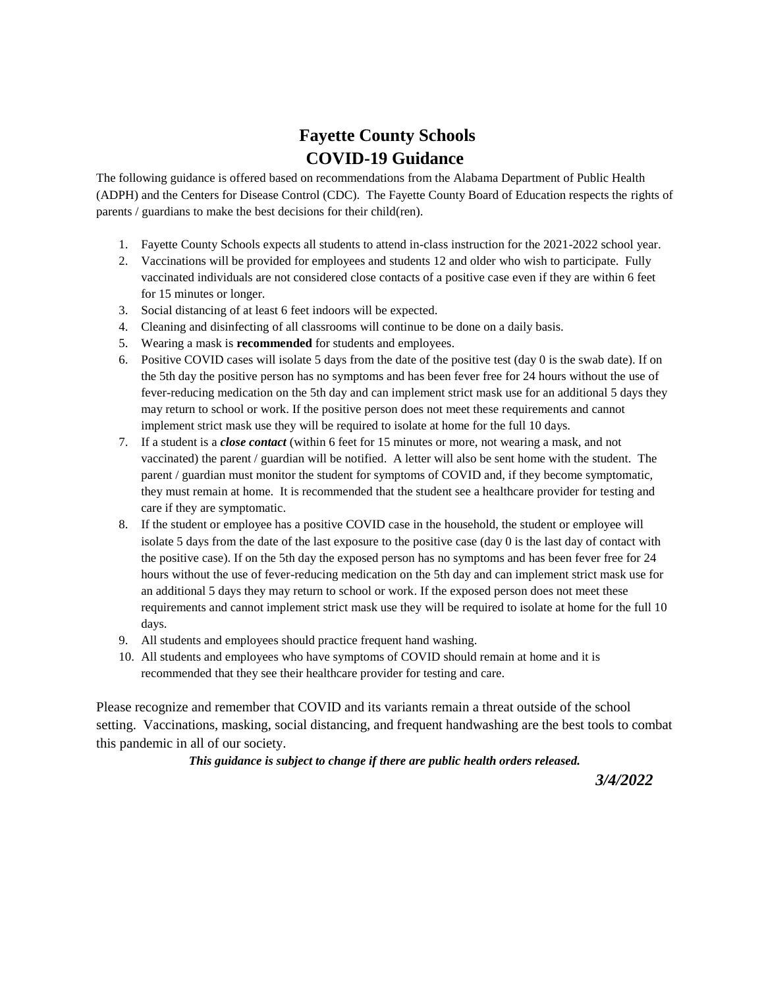## **Fayette County Schools COVID-19 Guidance**

The following guidance is offered based on recommendations from the Alabama Department of Public Health (ADPH) and the Centers for Disease Control (CDC). The Fayette County Board of Education respects the rights of parents / guardians to make the best decisions for their child(ren).

- 1. Fayette County Schools expects all students to attend in-class instruction for the 2021-2022 school year.
- 2. Vaccinations will be provided for employees and students 12 and older who wish to participate. Fully vaccinated individuals are not considered close contacts of a positive case even if they are within 6 feet for 15 minutes or longer.
- 3. Social distancing of at least 6 feet indoors will be expected.
- 4. Cleaning and disinfecting of all classrooms will continue to be done on a daily basis.
- 5. Wearing a mask is **recommended** for students and employees.
- 6. Positive COVID cases will isolate 5 days from the date of the positive test (day 0 is the swab date). If on the 5th day the positive person has no symptoms and has been fever free for 24 hours without the use of fever-reducing medication on the 5th day and can implement strict mask use for an additional 5 days they may return to school or work. If the positive person does not meet these requirements and cannot implement strict mask use they will be required to isolate at home for the full 10 days.
- 7. If a student is a *close contact* (within 6 feet for 15 minutes or more, not wearing a mask, and not vaccinated) the parent / guardian will be notified. A letter will also be sent home with the student. The parent / guardian must monitor the student for symptoms of COVID and, if they become symptomatic, they must remain at home. It is recommended that the student see a healthcare provider for testing and care if they are symptomatic.
- 8. If the student or employee has a positive COVID case in the household, the student or employee will isolate 5 days from the date of the last exposure to the positive case (day 0 is the last day of contact with the positive case). If on the 5th day the exposed person has no symptoms and has been fever free for 24 hours without the use of fever-reducing medication on the 5th day and can implement strict mask use for an additional 5 days they may return to school or work. If the exposed person does not meet these requirements and cannot implement strict mask use they will be required to isolate at home for the full 10 days.
- 9. All students and employees should practice frequent hand washing.
- 10. All students and employees who have symptoms of COVID should remain at home and it is recommended that they see their healthcare provider for testing and care.

Please recognize and remember that COVID and its variants remain a threat outside of the school setting. Vaccinations, masking, social distancing, and frequent handwashing are the best tools to combat this pandemic in all of our society.

*This guidance is subject to change if there are public health orders released.*

 *3/4/2022*